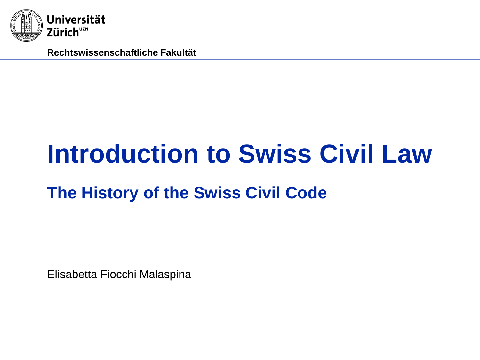

# **Introduction to Swiss Civil Law**

### **The History of the Swiss Civil Code**

Elisabetta Fiocchi Malaspina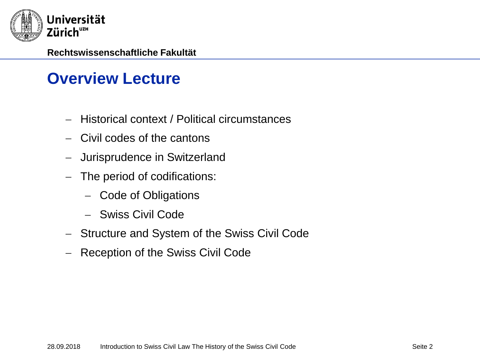

### **Overview Lecture**

- Historical context / Political circumstances
- Civil codes of the cantons
- Jurisprudence in Switzerland
- The period of codifications:
	- Code of Obligations
	- Swiss Civil Code
- Structure and System of the Swiss Civil Code
- Reception of the Swiss Civil Code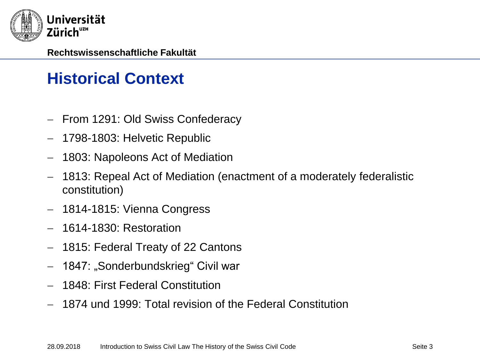

### **Historical Context**

- From 1291: Old Swiss Confederacy
- 1798-1803: Helvetic Republic
- 1803: Napoleons Act of Mediation
- 1813: Repeal Act of Mediation (enactment of a moderately federalistic constitution)
- 1814-1815: Vienna Congress
- 1614-1830: Restoration
- 1815: Federal Treaty of 22 Cantons
- 1847: "Sonderbundskrieg" Civil war
- 1848: First Federal Constitution
- 1874 und 1999: Total revision of the Federal Constitution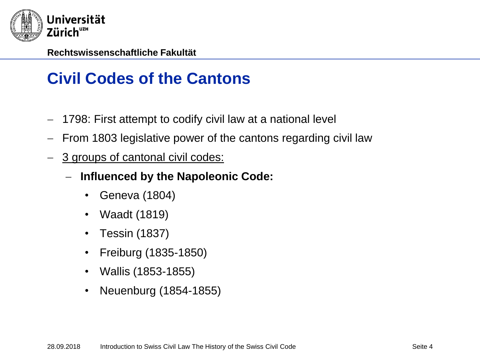

# **Civil Codes of the Cantons**

- 1798: First attempt to codify civil law at a national level
- From 1803 legislative power of the cantons regarding civil law
- 3 groups of cantonal civil codes:
	- **Influenced by the Napoleonic Code:**
		- Geneva (1804)
		- Waadt (1819)
		- Tessin (1837)
		- Freiburg (1835-1850)
		- Wallis (1853-1855)
		- Neuenburg (1854-1855)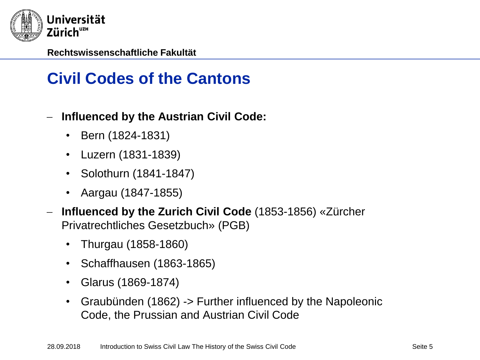

# **Civil Codes of the Cantons**

- **Influenced by the Austrian Civil Code:**
	- Bern (1824-1831)
	- Luzern (1831-1839)
	- Solothurn (1841-1847)
	- Aargau (1847-1855)
- **Influenced by the Zurich Civil Code** (1853-1856) «Zürcher Privatrechtliches Gesetzbuch» (PGB)
	- Thurgau (1858-1860)
	- Schaffhausen (1863-1865)
	- Glarus (1869-1874)
	- Graubünden (1862) -> Further influenced by the Napoleonic Code, the Prussian and Austrian Civil Code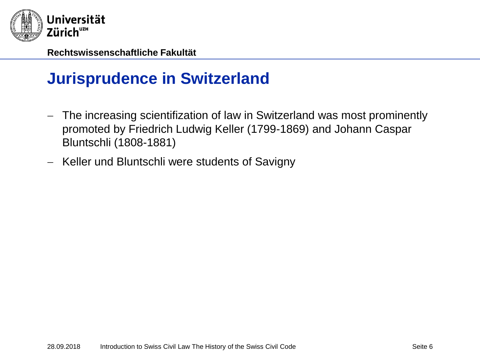

#### **Jurisprudence in Switzerland**

- The increasing scientifization of law in Switzerland was most prominently promoted by Friedrich Ludwig Keller (1799-1869) and Johann Caspar Bluntschli (1808-1881)
- Keller und Bluntschli were students of Savigny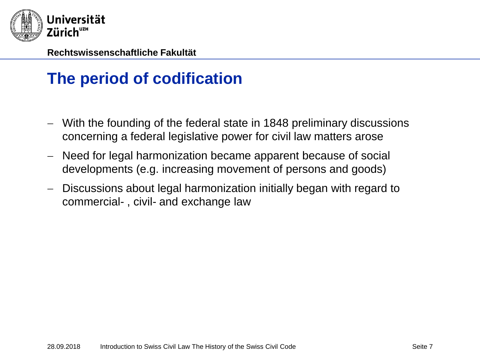

#### **The period of codification**

- With the founding of the federal state in 1848 preliminary discussions concerning a federal legislative power for civil law matters arose
- Need for legal harmonization became apparent because of social developments (e.g. increasing movement of persons and goods)
- Discussions about legal harmonization initially began with regard to commercial- , civil- and exchange law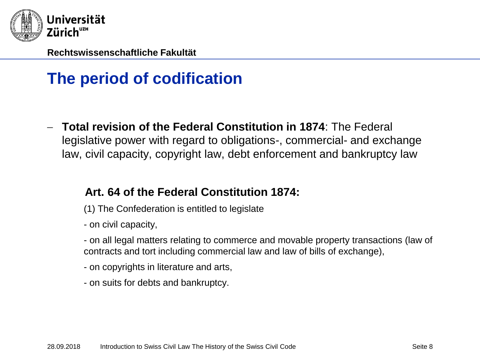

### **The period of codification**

 **Total revision of the Federal Constitution in 1874**: The Federal legislative power with regard to obligations-, commercial- and exchange law, civil capacity, copyright law, debt enforcement and bankruptcy law

#### **Art. 64 of the Federal Constitution 1874:**

- (1) The Confederation is entitled to legislate
- on civil capacity,
- on all legal matters relating to commerce and movable property transactions (law of contracts and tort including commercial law and law of bills of exchange),
- on copyrights in literature and arts,
- on suits for debts and bankruptcy.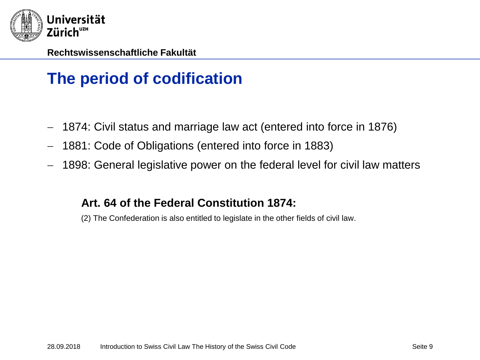

#### **The period of codification**

- 1874: Civil status and marriage law act (entered into force in 1876)
- 1881: Code of Obligations (entered into force in 1883)
- 1898: General legislative power on the federal level for civil law matters

#### **Art. 64 of the Federal Constitution 1874:**

(2) The Confederation is also entitled to legislate in the other fields of civil law.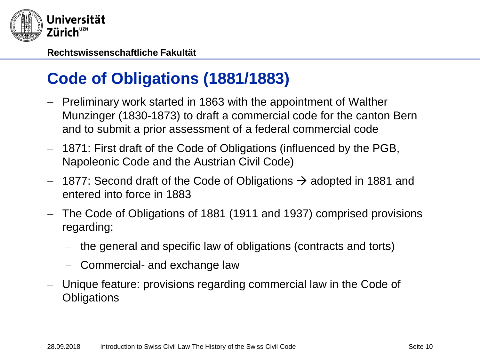

### **Code of Obligations (1881/1883)**

- Preliminary work started in 1863 with the appointment of Walther Munzinger (1830-1873) to draft a commercial code for the canton Bern and to submit a prior assessment of a federal commercial code
- 1871: First draft of the Code of Obligations (influenced by the PGB, Napoleonic Code and the Austrian Civil Code)
- $-$  1877: Second draft of the Code of Obligations  $\rightarrow$  adopted in 1881 and entered into force in 1883
- The Code of Obligations of 1881 (1911 and 1937) comprised provisions regarding:
	- the general and specific law of obligations (contracts and torts)
	- Commercial- and exchange law
- Unique feature: provisions regarding commercial law in the Code of **Obligations**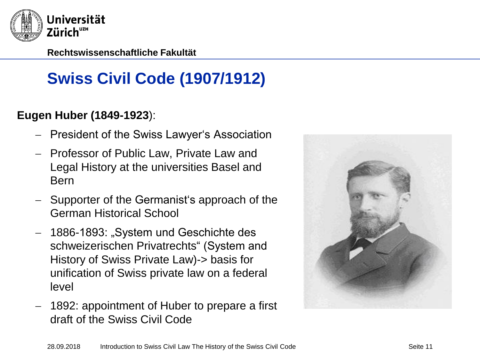

# **Swiss Civil Code (1907/1912)**

#### **Eugen Huber (1849-1923**):

- President of the Swiss Lawyer's Association
- Professor of Public Law, Private Law and Legal History at the universities Basel and Bern
- Supporter of the Germanist's approach of the German Historical School
- 1886-1893: "System und Geschichte des schweizerischen Privatrechts" (System and History of Swiss Private Law)-> basis for unification of Swiss private law on a federal level
- 1892: appointment of Huber to prepare a first draft of the Swiss Civil Code

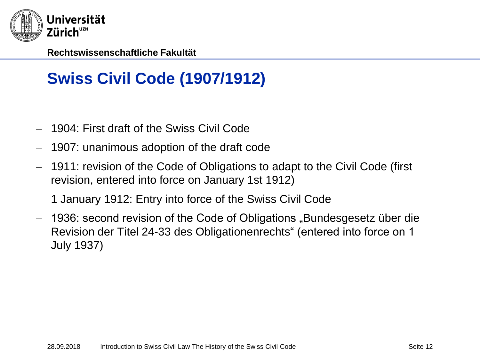

# **Swiss Civil Code (1907/1912)**

- 1904: First draft of the Swiss Civil Code
- 1907: unanimous adoption of the draft code
- 1911: revision of the Code of Obligations to adapt to the Civil Code (first revision, entered into force on January 1st 1912)
- 1 January 1912: Entry into force of the Swiss Civil Code
- 1936: second revision of the Code of Obligations "Bundesgesetz über die Revision der Titel 24-33 des Obligationenrechts" (entered into force on 1 July 1937)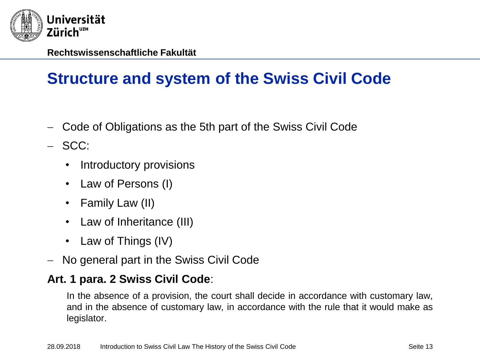

### **Structure and system of the Swiss Civil Code**

- Code of Obligations as the 5th part of the Swiss Civil Code
- SCC:
	- Introductory provisions
	- Law of Persons (I)
	- Family Law (II)
	- Law of Inheritance (III)
	- Law of Things (IV)
- No general part in the Swiss Civil Code

#### **Art. 1 para. 2 Swiss Civil Code**:

In the absence of a provision, the court shall decide in accordance with customary law, and in the absence of customary law, in accordance with the rule that it would make as legislator.